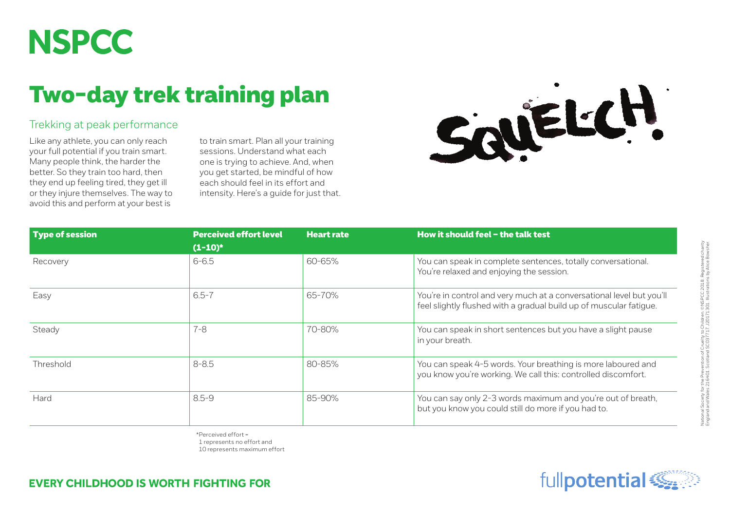## **NSPCC**

## Two-day trek training plan

## Trekking at peak performance

Like any athlete, you can only reach your full potential if you train smart. Many people think, the harder the better. So they train too hard, then they end up feeling tired, they get ill or they injure themselves. The way to avoid this and perform at your best is

to train smart. Plan all your training sessions. Understand what each one is trying to achieve. And, when you get started, be mindful of how each should feel in its effort and intensity. Here's a guide for just that.



| <b>Type of session</b> | <b>Perceived effort level</b><br>$(1-10)^*$ | <b>Heart rate</b> | How it should feel - the talk test                                                                                                         |
|------------------------|---------------------------------------------|-------------------|--------------------------------------------------------------------------------------------------------------------------------------------|
| Recovery               | $6 - 6.5$                                   | $60 - 65%$        | You can speak in complete sentences, totally conversational.<br>You're relaxed and enjoying the session.                                   |
| Easy                   | $6.5 - 7$                                   | 65-70%            | You're in control and very much at a conversational level but you'll<br>feel slightly flushed with a gradual build up of muscular fatigue. |
| Steady                 | $7 - 8$                                     | 70-80%            | You can speak in short sentences but you have a slight pause<br>in your breath.                                                            |
| Threshold              | $8 - 8.5$                                   | 80-85%            | You can speak 4-5 words. Your breathing is more laboured and<br>you know you're working. We call this: controlled discomfort.              |
| Hard                   | $8.5 - 9$                                   | 85-90%            | You can say only 2-3 words maximum and you're out of breath,<br>but you know you could still do more if you had to.                        |

\*Perceived effort = 1 represents no effort and

10 represents maximum effort

**EVERY CHILDHOOD IS WORTH FIGHTING FOR** 

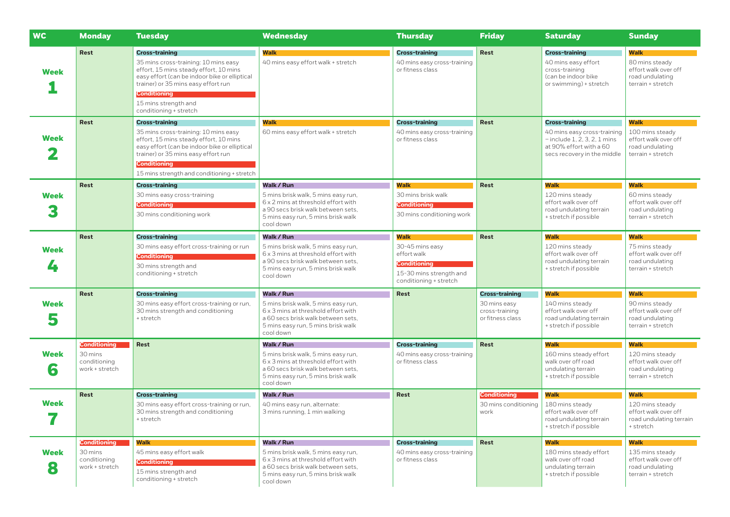| <b>WC</b>        | <b>Monday</b>                             | <b>Tuesday</b>                                                                                                                                                                                                                                                           | Wednesday                                                                                                                                                           | <b>Thursday</b>                                                                                            | <b>Friday</b>                                      | <b>Saturday</b>                                                                                                         | <b>Sunday</b>                                                                                 |
|------------------|-------------------------------------------|--------------------------------------------------------------------------------------------------------------------------------------------------------------------------------------------------------------------------------------------------------------------------|---------------------------------------------------------------------------------------------------------------------------------------------------------------------|------------------------------------------------------------------------------------------------------------|----------------------------------------------------|-------------------------------------------------------------------------------------------------------------------------|-----------------------------------------------------------------------------------------------|
| <b>Week</b>      | Rest                                      | <b>Cross-training</b><br>35 mins cross-training: 10 mins easy<br>effort, 15 mins steady effort, 10 mins<br>easy effort (can be indoor bike or elliptical<br>trainer) or 35 mins easy effort run<br><b>Conditioning</b><br>15 mins strength and<br>conditioning + stretch | <b>Walk</b><br>40 mins easy effort walk + stretch                                                                                                                   | <b>Cross-training</b><br>40 mins easy cross-training<br>or fitness class                                   | <b>Rest</b>                                        | <b>Cross-training</b><br>40 mins easy effort<br>cross-training<br>(can be indoor bike<br>or swimming) + stretch         | <b>Walk</b><br>80 mins steady<br>effort walk over off<br>road undulating<br>terrain + stretch |
|                  | <b>Rest</b>                               | <b>Cross-training</b>                                                                                                                                                                                                                                                    | <b>Walk</b>                                                                                                                                                         | <b>Cross-training</b>                                                                                      | <b>Rest</b>                                        | <b>Cross-training</b>                                                                                                   | <b>Walk</b>                                                                                   |
| <b>Week</b>      |                                           | 35 mins cross-training: 10 mins easy<br>effort, 15 mins steady effort, 10 mins<br>easy effort (can be indoor bike or elliptical<br>trainer) or 35 mins easy effort run<br>Conditioning<br>15 mins strength and conditioning + stretch                                    | 60 mins easy effort walk + stretch                                                                                                                                  | 40 mins easy cross-training<br>or fitness class                                                            |                                                    | 40 mins easy cross-training<br>$-$ include 1, 2, 3, 2, 1 mins<br>at 90% effort with a 60<br>secs recovery in the middle | 100 mins steady<br>effort walk over off<br>road undulating<br>terrain + stretch               |
|                  | <b>Rest</b>                               | <b>Cross-training</b>                                                                                                                                                                                                                                                    | Walk / Run                                                                                                                                                          | <b>Walk</b>                                                                                                | <b>Rest</b>                                        | <b>Walk</b>                                                                                                             | <b>Walk</b>                                                                                   |
| <b>Week</b>      |                                           | 30 mins easy cross-training<br>Conditioning<br>30 mins conditioning work                                                                                                                                                                                                 | 5 mins brisk walk, 5 mins easy run,<br>6 x 2 mins at threshold effort with<br>a 90 secs brisk walk between sets.<br>5 mins easy run, 5 mins brisk walk<br>cool down | 30 mins brisk walk<br><b>Conditioning</b><br>30 mins conditioning work                                     |                                                    | 120 mins steady<br>effort walk over off<br>road undulating terrain<br>+ stretch if possible                             | 60 mins steady<br>effort walk over off<br>road undulating<br>terrain + stretch                |
|                  | Rest                                      | <b>Cross-training</b>                                                                                                                                                                                                                                                    | <b>Walk / Run</b>                                                                                                                                                   | <b>Walk</b>                                                                                                | <b>Rest</b>                                        | <b>Walk</b>                                                                                                             | <b>Walk</b>                                                                                   |
| <b>Week</b><br>4 |                                           | 30 mins easy effort cross-training or run<br>Conditioning<br>30 mins strength and<br>conditioning + stretch                                                                                                                                                              | 5 mins brisk walk, 5 mins easy run,<br>6 x 3 mins at threshold effort with<br>a 90 secs brisk walk between sets,<br>5 mins easy run, 5 mins brisk walk<br>cool down | 30-45 mins easy<br>effort walk<br><b>Conditioning</b><br>15-30 mins strength and<br>conditioning + stretch |                                                    | 120 mins steady<br>effort walk over off<br>road undulating terrain<br>+ stretch if possible                             | 75 mins steady<br>effort walk over off<br>road undulating<br>terrain + stretch                |
|                  | Rest                                      | <b>Cross-training</b>                                                                                                                                                                                                                                                    | <b>Walk / Run</b>                                                                                                                                                   | Rest                                                                                                       | <b>Cross-training</b>                              | <b>Walk</b>                                                                                                             | <b>Walk</b>                                                                                   |
| <b>Week</b><br>5 |                                           | 30 mins easy effort cross-training or run,<br>30 mins strength and conditioning<br>+ stretch                                                                                                                                                                             | 5 mins brisk walk, 5 mins easy run,<br>6 x 3 mins at threshold effort with<br>a 60 secs brisk walk between sets,<br>5 mins easy run, 5 mins brisk walk<br>cool down |                                                                                                            | 30 mins easy<br>cross-training<br>or fitness class | 140 mins steady<br>effort walk over off<br>road undulating terrain<br>+ stretch if possible                             | 90 mins steady<br>effort walk over off<br>road undulating<br>terrain + stretch                |
|                  | <b>Conditioning</b>                       | Rest                                                                                                                                                                                                                                                                     | <b>Walk / Run</b>                                                                                                                                                   | <b>Cross-training</b>                                                                                      | <b>Rest</b>                                        | <b>Walk</b>                                                                                                             | <b>Walk</b>                                                                                   |
| <b>Week</b><br>6 | 30 mins<br>conditioning<br>work + stretch |                                                                                                                                                                                                                                                                          | 5 mins brisk walk, 5 mins easy run,<br>6 x 3 mins at threshold effort with<br>a 60 secs brisk walk between sets,<br>5 mins easy run, 5 mins brisk walk<br>cool down | 40 mins easy cross-training<br>or fitness class                                                            |                                                    | 160 mins steady effort<br>walk over off road<br>undulating terrain<br>+ stretch if possible                             | 120 mins steady<br>effort walk over off<br>road undulating<br>terrain + stretch               |
|                  | Rest                                      | <b>Cross-training</b>                                                                                                                                                                                                                                                    | <b>Walk / Run</b>                                                                                                                                                   | Rest                                                                                                       | <b>Conditioning</b>                                | <b>Walk</b>                                                                                                             | <b>Walk</b>                                                                                   |
| Week             |                                           | 30 mins easy effort cross-training or run,<br>30 mins strength and conditioning<br>+ stretch                                                                                                                                                                             | 40 mins easy run, alternate:<br>3 mins running, 1 min walking                                                                                                       |                                                                                                            | 30 mins conditioning<br>work                       | 180 mins steady<br>effort walk over off<br>road undulating terrain<br>+ stretch if possible                             | 120 mins steady<br>effort walk over off<br>road undulating terrain<br>+ stretch               |
|                  | <b>Conditioning</b>                       | <b>Walk</b>                                                                                                                                                                                                                                                              | <b>Walk / Run</b>                                                                                                                                                   | <b>Cross-training</b>                                                                                      | Rest                                               | <b>Walk</b>                                                                                                             | <b>Walk</b>                                                                                   |
| <b>Week</b><br>8 | 30 mins<br>conditioning<br>work + stretch | 45 mins easy effort walk<br>Conditioning<br>15 mins strength and<br>conditioning + stretch                                                                                                                                                                               | 5 mins brisk walk, 5 mins easy run,<br>6 x 3 mins at threshold effort with<br>a 60 secs brisk walk between sets.<br>5 mins easy run, 5 mins brisk walk<br>cool down | 40 mins easy cross-training<br>or fitness class                                                            |                                                    | 180 mins steady effort<br>walk over off road<br>undulating terrain<br>+ stretch if possible                             | 135 mins steady<br>effort walk over off<br>road undulating<br>terrain + stretch               |